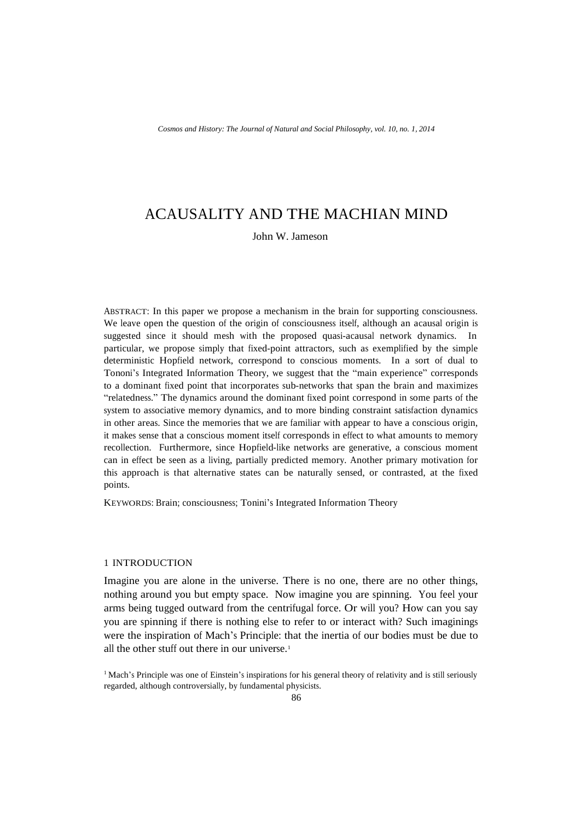# ACAUSALITY AND THE MACHIAN MIND

John W. Jameson

ABSTRACT: In this paper we propose a mechanism in the brain for supporting consciousness. We leave open the question of the origin of consciousness itself, although an acausal origin is suggested since it should mesh with the proposed quasi-acausal network dynamics. In particular, we propose simply that fixed-point attractors, such as exemplified by the simple deterministic Hopfield network, correspond to conscious moments. In a sort of dual to Tononi's Integrated Information Theory, we suggest that the "main experience" corresponds to a dominant fixed point that incorporates sub-networks that span the brain and maximizes "relatedness." The dynamics around the dominant fixed point correspond in some parts of the system to associative memory dynamics, and to more binding constraint satisfaction dynamics in other areas. Since the memories that we are familiar with appear to have a conscious origin, it makes sense that a conscious moment itself corresponds in effect to what amounts to memory recollection. Furthermore, since Hopfield-like networks are generative, a conscious moment can in effect be seen as a living, partially predicted memory. Another primary motivation for this approach is that alternative states can be naturally sensed, or contrasted, at the fixed points.

KEYWORDS: Brain; consciousness; Tonini's Integrated Information Theory

# 1 INTRODUCTION

Imagine you are alone in the universe. There is no one, there are no other things, nothing around you but empty space. Now imagine you are spinning. You feel your arms being tugged outward from the centrifugal force. Or will you? How can you say you are spinning if there is nothing else to refer to or interact with? Such imaginings were the inspiration of Mach's Principle: that the inertia of our bodies must be due to all the other stuff out there in our universe.<sup>1</sup>

<sup>&</sup>lt;sup>1</sup> Mach's Principle was one of Einstein's inspirations for his general theory of relativity and is still seriously regarded, although controversially, by fundamental physicists.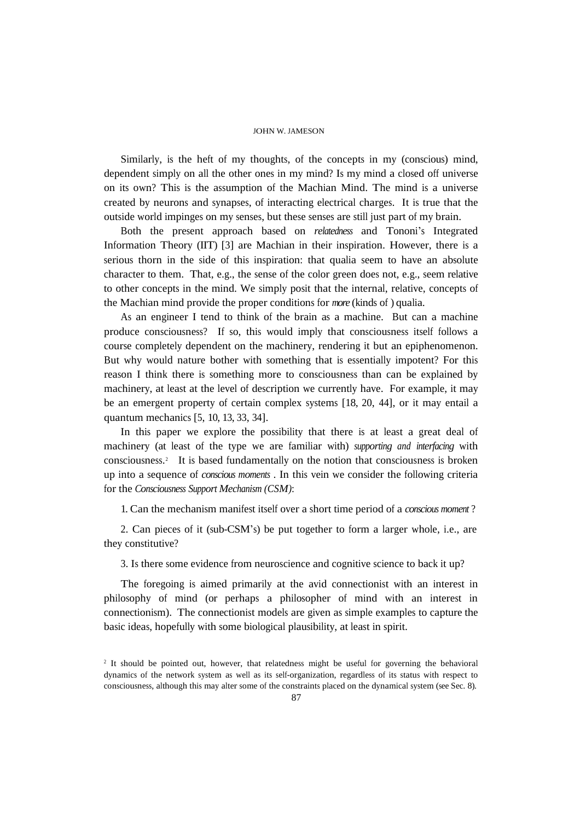Similarly, is the heft of my thoughts, of the concepts in my (conscious) mind, dependent simply on all the other ones in my mind? Is my mind a closed off universe on its own? This is the assumption of the Machian Mind. The mind is a universe created by neurons and synapses, of interacting electrical charges. It is true that the outside world impinges on my senses, but these senses are still just part of my brain.

Both the present approach based on *relatedness* and Tononi's Integrated Information Theory (IIT) [3] are Machian in their inspiration. However, there is a serious thorn in the side of this inspiration: that qualia seem to have an absolute character to them. That, e.g., the sense of the color green does not, e.g., seem relative to other concepts in the mind. We simply posit that the internal, relative, concepts of the Machian mind provide the proper conditions for *more* (kinds of ) qualia.

As an engineer I tend to think of the brain as a machine. But can a machine produce consciousness? If so, this would imply that consciousness itself follows a course completely dependent on the machinery, rendering it but an epiphenomenon. But why would nature bother with something that is essentially impotent? For this reason I think there is something more to consciousness than can be explained by machinery, at least at the level of description we currently have. For example, it may be an emergent property of certain complex systems [18, 20, 44], or it may entail a quantum mechanics [5, 10, 13, 33, 34].

In this paper we explore the possibility that there is at least a great deal of machinery (at least of the type we are familiar with) *supporting and interfacing* with consciousness. 2 It is based fundamentally on the notion that consciousness is broken up into a sequence of *conscious moments* . In this vein we consider the following criteria for the *Consciousness Support Mechanism (CSM)*:

1. Can the mechanism manifest itself over a short time period of a *conscious moment* ?

2. Can pieces of it (sub-CSM's) be put together to form a larger whole, i.e., are they constitutive?

3. Is there some evidence from neuroscience and cognitive science to back it up?

The foregoing is aimed primarily at the avid connectionist with an interest in philosophy of mind (or perhaps a philosopher of mind with an interest in connectionism). The connectionist models are given as simple examples to capture the basic ideas, hopefully with some biological plausibility, at least in spirit.

<sup>2</sup> It should be pointed out, however, that relatedness might be useful for governing the behavioral dynamics of the network system as well as its self-organization, regardless of its status with respect to consciousness, although this may alter some of the constraints placed on the dynamical system (see Sec. 8).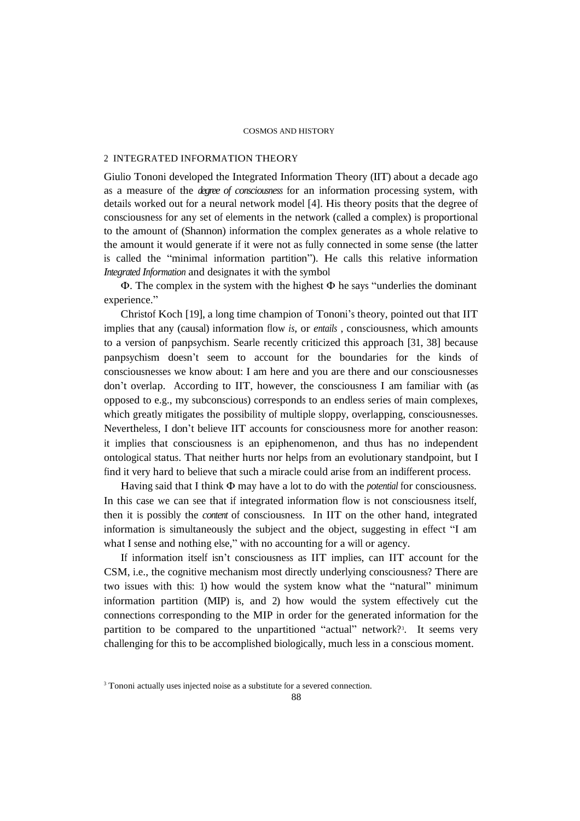# 2 INTEGRATED INFORMATION THEORY

Giulio Tononi developed the Integrated Information Theory (IIT) about a decade ago as a measure of the *degree of consciousness* for an information processing system, with details worked out for a neural network model [4]. His theory posits that the degree of consciousness for any set of elements in the network (called a complex) is proportional to the amount of (Shannon) information the complex generates as a whole relative to the amount it would generate if it were not as fully connected in some sense (the latter is called the "minimal information partition"). He calls this relative information *Integrated Information* and designates it with the symbol

Φ. The complex in the system with the highest Φ he says "underlies the dominant experience."

Christof Koch [19], a long time champion of Tononi's theory, pointed out that IIT implies that any (causal) information flow *is*, or *entails* , consciousness, which amounts to a version of panpsychism. Searle recently criticized this approach [31, 38] because panpsychism doesn't seem to account for the boundaries for the kinds of consciousnesses we know about: I am here and you are there and our consciousnesses don't overlap. According to IIT, however, the consciousness I am familiar with (as opposed to e.g., my subconscious) corresponds to an endless series of main complexes, which greatly mitigates the possibility of multiple sloppy, overlapping, consciousnesses. Nevertheless, I don't believe IIT accounts for consciousness more for another reason: it implies that consciousness is an epiphenomenon, and thus has no independent ontological status. That neither hurts nor helps from an evolutionary standpoint, but I find it very hard to believe that such a miracle could arise from an indifferent process.

Having said that I think Φ may have a lot to do with the *potential* for consciousness. In this case we can see that if integrated information flow is not consciousness itself, then it is possibly the *content* of consciousness. In IIT on the other hand, integrated information is simultaneously the subject and the object, suggesting in effect "I am what I sense and nothing else," with no accounting for a will or agency.

If information itself isn't consciousness as IIT implies, can IIT account for the CSM, i.e., the cognitive mechanism most directly underlying consciousness? There are two issues with this: 1) how would the system know what the "natural" minimum information partition (MIP) is, and 2) how would the system effectively cut the connections corresponding to the MIP in order for the generated information for the partition to be compared to the unpartitioned "actual" network?<sup>3</sup>. It seems very challenging for this to be accomplished biologically, much less in a conscious moment.

<sup>&</sup>lt;sup>3</sup> Tononi actually uses injected noise as a substitute for a severed connection.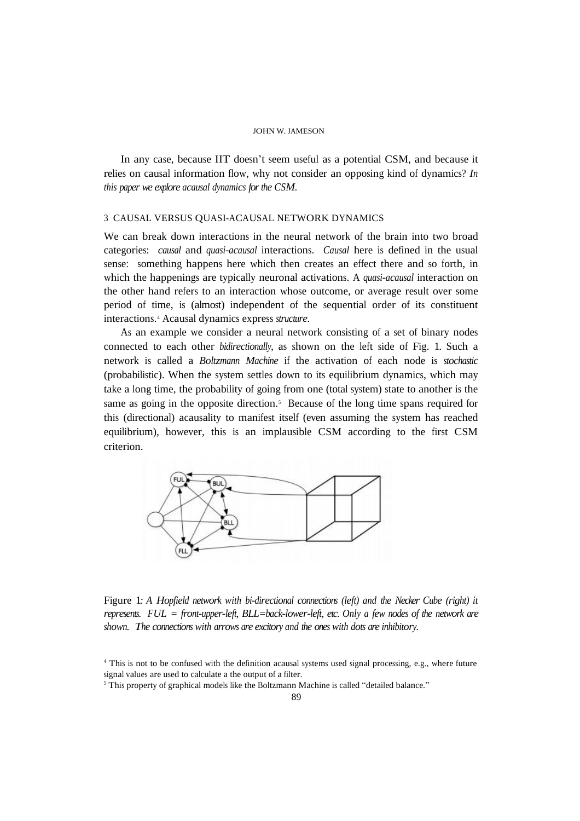In any case, because IIT doesn't seem useful as a potential CSM, and because it relies on causal information flow, why not consider an opposing kind of dynamics? *In this paper we explore acausal dynamics for the CSM*.

# 3 CAUSAL VERSUS QUASI-ACAUSAL NETWORK DYNAMICS

We can break down interactions in the neural network of the brain into two broad categories: *causal* and *quasi-acausal* interactions. *Causal* here is defined in the usual sense: something happens here which then creates an effect there and so forth, in which the happenings are typically neuronal activations. A *quasi-acausal* interaction on the other hand refers to an interaction whose outcome, or average result over some period of time, is (almost) independent of the sequential order of its constituent interactions. <sup>4</sup> Acausal dynamics express *structure*.

As an example we consider a neural network consisting of a set of binary nodes connected to each other *bidirectionally*, as shown on the left side of Fig. 1. Such a network is called a *Boltzmann Machine* if the activation of each node is *stochastic* (probabilistic). When the system settles down to its equilibrium dynamics, which may take a long time, the probability of going from one (total system) state to another is the same as going in the opposite direction.<sup>5</sup> Because of the long time spans required for this (directional) acausality to manifest itself (even assuming the system has reached equilibrium), however, this is an implausible CSM according to the first CSM criterion.



Figure 1*: A Hopfield network with bi-directional connections (left) and the Necker Cube (right) it represents. FUL = front-upper-left, BLL=back-lower-left, etc. Only a few nodes of the network are shown. The connections with arrows are excitory and the ones with dots are inhibitory.*

<sup>4</sup> This is not to be confused with the definition acausal systems used signal processing, e.g., where future signal values are used to calculate a the output of a filter.

<sup>&</sup>lt;sup>5</sup> This property of graphical models like the Boltzmann Machine is called "detailed balance."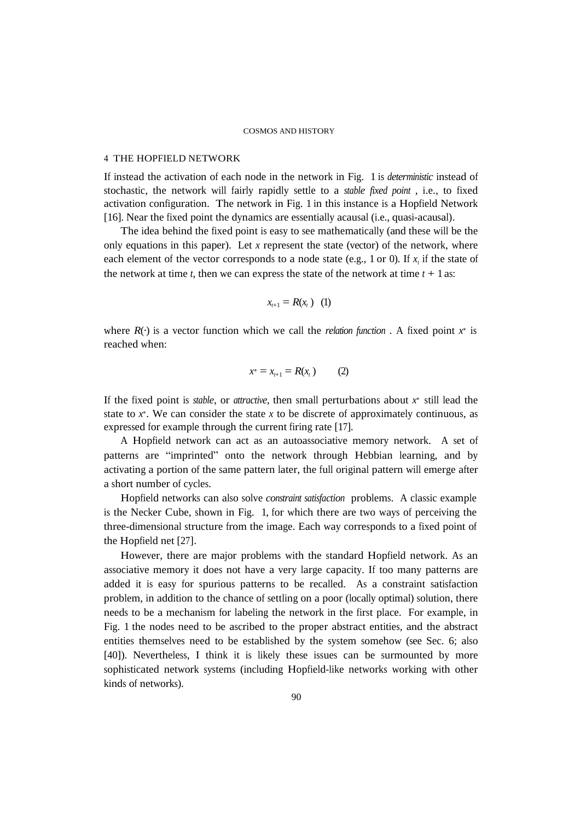## 4 THE HOPFIELD NETWORK

If instead the activation of each node in the network in Fig. 1 is *deterministic* instead of stochastic, the network will fairly rapidly settle to a *stable fixed point* , i.e., to fixed activation configuration. The network in Fig. 1 in this instance is a Hopfield Network [16]. Near the fixed point the dynamics are essentially acausal (i.e., quasi-acausal).

The idea behind the fixed point is easy to see mathematically (and these will be the only equations in this paper). Let *x* represent the state (vector) of the network, where each element of the vector corresponds to a node state (e.g., 1 or 0). If  $x<sub>t</sub>$  if the state of the network at time  $t$ , then we can express the state of the network at time  $t + 1$  as:

$$
x_{t+1}=R(x_t) \quad (1)
$$

where  $R(\cdot)$  is a vector function which we call the *relation function*. A fixed point  $x^*$  is reached when:

$$
x^* = x_{t+1} = R(x_t) \qquad (2)
$$

If the fixed point is *stable*, or *attractive*, then small perturbations about *x* <sup>∗</sup> still lead the state to  $x^*$ . We can consider the state  $x$  to be discrete of approximately continuous, as expressed for example through the current firing rate [17].

A Hopfield network can act as an autoassociative memory network. A set of patterns are "imprinted" onto the network through Hebbian learning, and by activating a portion of the same pattern later, the full original pattern will emerge after a short number of cycles.

Hopfield networks can also solve *constraint satisfaction* problems. A classic example is the Necker Cube, shown in Fig. 1, for which there are two ways of perceiving the three-dimensional structure from the image. Each way corresponds to a fixed point of the Hopfield net [27].

However, there are major problems with the standard Hopfield network. As an associative memory it does not have a very large capacity. If too many patterns are added it is easy for spurious patterns to be recalled. As a constraint satisfaction problem, in addition to the chance of settling on a poor (locally optimal) solution, there needs to be a mechanism for labeling the network in the first place. For example, in Fig. 1 the nodes need to be ascribed to the proper abstract entities, and the abstract entities themselves need to be established by the system somehow (see Sec. 6; also [40]). Nevertheless, I think it is likely these issues can be surmounted by more sophisticated network systems (including Hopfield-like networks working with other kinds of networks).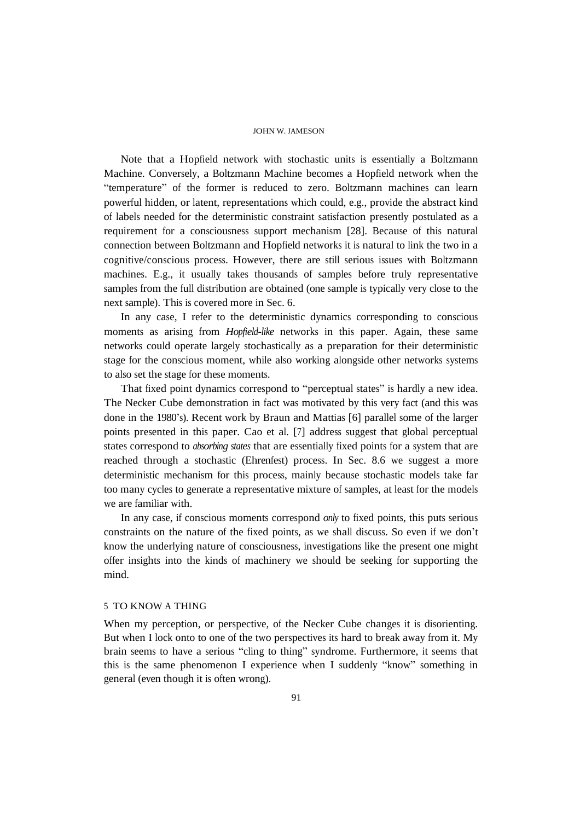Note that a Hopfield network with stochastic units is essentially a Boltzmann Machine. Conversely, a Boltzmann Machine becomes a Hopfield network when the "temperature" of the former is reduced to zero. Boltzmann machines can learn powerful hidden, or latent, representations which could, e.g., provide the abstract kind of labels needed for the deterministic constraint satisfaction presently postulated as a requirement for a consciousness support mechanism [28]. Because of this natural connection between Boltzmann and Hopfield networks it is natural to link the two in a cognitive/conscious process. However, there are still serious issues with Boltzmann machines. E.g., it usually takes thousands of samples before truly representative samples from the full distribution are obtained (one sample is typically very close to the next sample). This is covered more in Sec. 6.

In any case, I refer to the deterministic dynamics corresponding to conscious moments as arising from *Hopfield-like* networks in this paper. Again, these same networks could operate largely stochastically as a preparation for their deterministic stage for the conscious moment, while also working alongside other networks systems to also set the stage for these moments.

That fixed point dynamics correspond to "perceptual states" is hardly a new idea. The Necker Cube demonstration in fact was motivated by this very fact (and this was done in the 1980's). Recent work by Braun and Mattias [6] parallel some of the larger points presented in this paper. Cao et al. [7] address suggest that global perceptual states correspond to *absorbing states* that are essentially fixed points for a system that are reached through a stochastic (Ehrenfest) process. In Sec. 8.6 we suggest a more deterministic mechanism for this process, mainly because stochastic models take far too many cycles to generate a representative mixture of samples, at least for the models we are familiar with.

In any case, if conscious moments correspond *only* to fixed points, this puts serious constraints on the nature of the fixed points, as we shall discuss. So even if we don't know the underlying nature of consciousness, investigations like the present one might offer insights into the kinds of machinery we should be seeking for supporting the mind.

# 5 TO KNOW A THING

When my perception, or perspective, of the Necker Cube changes it is disorienting. But when I lock onto to one of the two perspectives its hard to break away from it. My brain seems to have a serious "cling to thing" syndrome. Furthermore, it seems that this is the same phenomenon I experience when I suddenly "know" something in general (even though it is often wrong).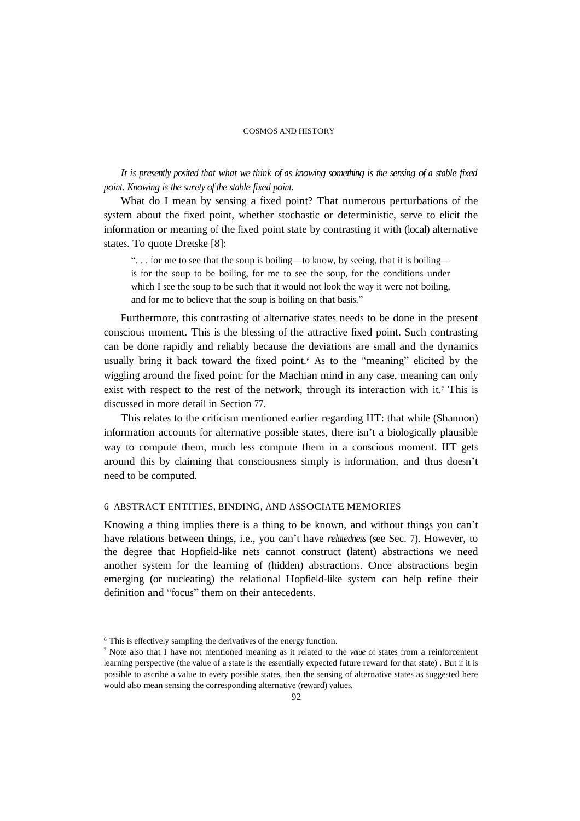It is presently posited that what we think of as knowing something is the sensing of a stable fixed *point. Knowing is the surety of the stable fixed point.*

What do I mean by sensing a fixed point? That numerous perturbations of the system about the fixed point, whether stochastic or deterministic, serve to elicit the information or meaning of the fixed point state by contrasting it with (local) alternative states. To quote Dretske [8]:

". . . for me to see that the soup is boiling—to know, by seeing, that it is boiling is for the soup to be boiling, for me to see the soup, for the conditions under which I see the soup to be such that it would not look the way it were not boiling, and for me to believe that the soup is boiling on that basis."

Furthermore, this contrasting of alternative states needs to be done in the present conscious moment. This is the blessing of the attractive fixed point. Such contrasting can be done rapidly and reliably because the deviations are small and the dynamics usually bring it back toward the fixed point. <sup>6</sup> As to the "meaning" elicited by the wiggling around the fixed point: for the Machian mind in any case, meaning can only exist with respect to the rest of the network, through its interaction with it.<sup>7</sup> This is discussed in more detail in Section 77.

This relates to the criticism mentioned earlier regarding IIT: that while (Shannon) information accounts for alternative possible states, there isn't a biologically plausible way to compute them, much less compute them in a conscious moment. IIT gets around this by claiming that consciousness simply is information, and thus doesn't need to be computed.

# 6 ABSTRACT ENTITIES, BINDING, AND ASSOCIATE MEMORIES

Knowing a thing implies there is a thing to be known, and without things you can't have relations between things, i.e., you can't have *relatedness* (see Sec. 7). However, to the degree that Hopfield-like nets cannot construct (latent) abstractions we need another system for the learning of (hidden) abstractions. Once abstractions begin emerging (or nucleating) the relational Hopfield-like system can help refine their definition and "focus" them on their antecedents.

<sup>6</sup> This is effectively sampling the derivatives of the energy function.

<sup>7</sup> Note also that I have not mentioned meaning as it related to the *value* of states from a reinforcement learning perspective (the value of a state is the essentially expected future reward for that state) . But if it is possible to ascribe a value to every possible states, then the sensing of alternative states as suggested here would also mean sensing the corresponding alternative (reward) values.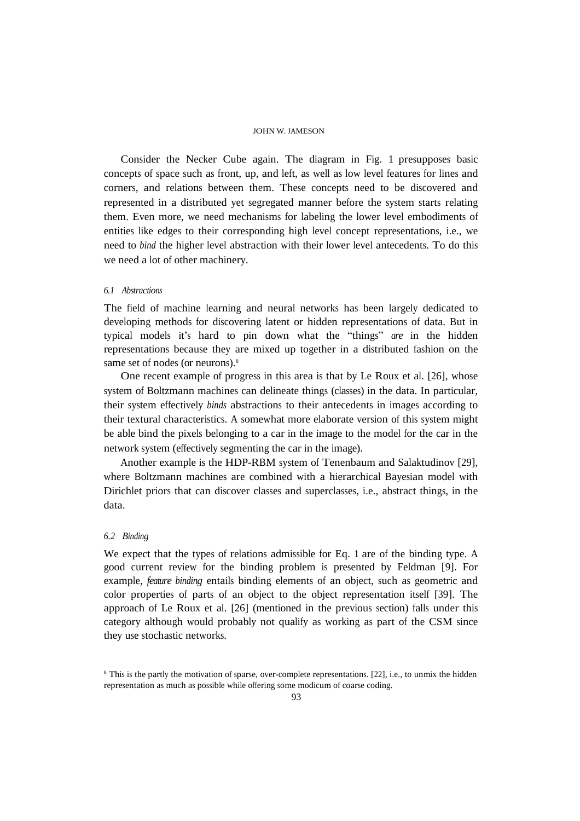Consider the Necker Cube again. The diagram in Fig. 1 presupposes basic concepts of space such as front, up, and left, as well as low level features for lines and corners, and relations between them. These concepts need to be discovered and represented in a distributed yet segregated manner before the system starts relating them. Even more, we need mechanisms for labeling the lower level embodiments of entities like edges to their corresponding high level concept representations, i.e., we need to *bind* the higher level abstraction with their lower level antecedents. To do this we need a lot of other machinery.

### *6.1 Abstractions*

The field of machine learning and neural networks has been largely dedicated to developing methods for discovering latent or hidden representations of data. But in typical models it's hard to pin down what the "things" *are* in the hidden representations because they are mixed up together in a distributed fashion on the same set of nodes (or neurons). 8

One recent example of progress in this area is that by Le Roux et al. [26], whose system of Boltzmann machines can delineate things (classes) in the data. In particular, their system effectively *binds* abstractions to their antecedents in images according to their textural characteristics. A somewhat more elaborate version of this system might be able bind the pixels belonging to a car in the image to the model for the car in the network system (effectively segmenting the car in the image).

Another example is the HDP-RBM system of Tenenbaum and Salaktudinov [29], where Boltzmann machines are combined with a hierarchical Bayesian model with Dirichlet priors that can discover classes and superclasses, i.e., abstract things, in the data.

## *6.2 Binding*

We expect that the types of relations admissible for Eq. 1 are of the binding type. A good current review for the binding problem is presented by Feldman [9]. For example, *feature binding* entails binding elements of an object, such as geometric and color properties of parts of an object to the object representation itself [39]. The approach of Le Roux et al. [26] (mentioned in the previous section) falls under this category although would probably not qualify as working as part of the CSM since they use stochastic networks.

<sup>8</sup> This is the partly the motivation of sparse, over-complete representations. [22], i.e., to unmix the hidden representation as much as possible while offering some modicum of coarse coding.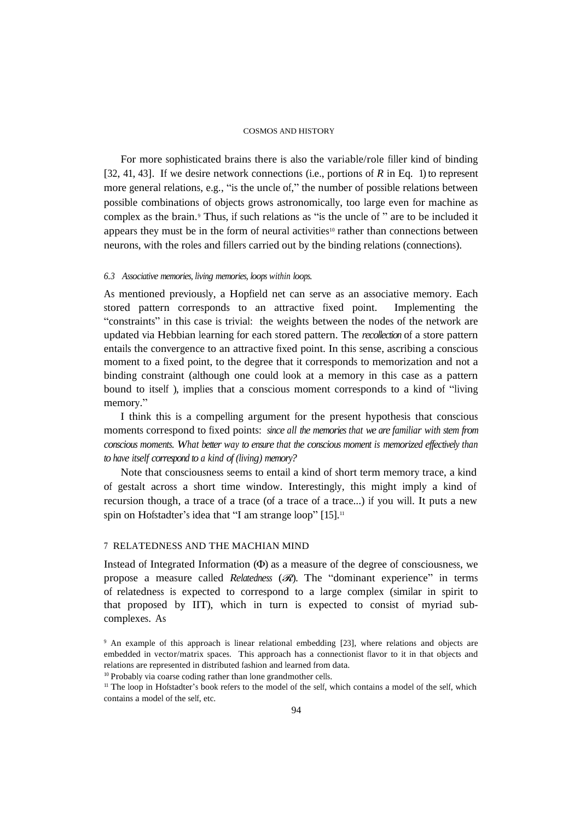For more sophisticated brains there is also the variable/role filler kind of binding [32, 41, 43]. If we desire network connections (i.e., portions of *R* in Eq. 1) to represent more general relations, e.g., "is the uncle of," the number of possible relations between possible combinations of objects grows astronomically, too large even for machine as complex as the brain. <sup>9</sup> Thus, if such relations as "is the uncle of " are to be included it appears they must be in the form of neural activities<sup>10</sup> rather than connections between neurons, with the roles and fillers carried out by the binding relations (connections).

### *6.3 Associative memories, living memories, loops within loops.*

As mentioned previously, a Hopfield net can serve as an associative memory. Each stored pattern corresponds to an attractive fixed point. Implementing the "constraints" in this case is trivial: the weights between the nodes of the network are updated via Hebbian learning for each stored pattern. The *recollection* of a store pattern entails the convergence to an attractive fixed point. In this sense, ascribing a conscious moment to a fixed point, to the degree that it corresponds to memorization and not a binding constraint (although one could look at a memory in this case as a pattern bound to itself ), implies that a conscious moment corresponds to a kind of "living memory."

I think this is a compelling argument for the present hypothesis that conscious moments correspond to fixed points: *since all the memories that we are familiar with stem from conscious moments. What better way to ensure that the conscious moment is memorized effectively than to have itself correspond to a kind of (living) memory?*

Note that consciousness seems to entail a kind of short term memory trace, a kind of gestalt across a short time window. Interestingly, this might imply a kind of recursion though, a trace of a trace (of a trace of a trace...) if you will. It puts a new spin on Hofstadter's idea that "I am strange loop" [15].<sup>11</sup>

# 7 RELATEDNESS AND THE MACHIAN MIND

Instead of Integrated Information (Φ) as a measure of the degree of consciousness, we propose a measure called *Relatedness* (ℛ). The "dominant experience" in terms of relatedness is expected to correspond to a large complex (similar in spirit to that proposed by IIT), which in turn is expected to consist of myriad subcomplexes. As

<sup>9</sup> An example of this approach is linear relational embedding [23], where relations and objects are embedded in vector/matrix spaces. This approach has a connectionist flavor to it in that objects and relations are represented in distributed fashion and learned from data.

<sup>&</sup>lt;sup>10</sup> Probably via coarse coding rather than lone grandmother cells.

<sup>&</sup>lt;sup>11</sup> The loop in Hofstadter's book refers to the model of the self, which contains a model of the self, which contains a model of the self, etc.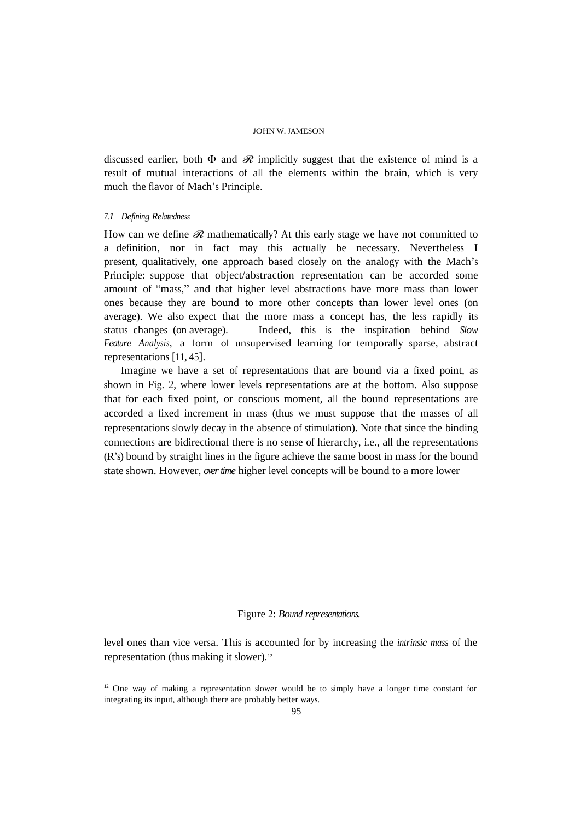discussed earlier, both  $\Phi$  and  $\mathcal R$  implicitly suggest that the existence of mind is a result of mutual interactions of all the elements within the brain, which is very much the flavor of Mach's Principle.

#### *7.1 Defining Relatedness*

How can we define  $\mathcal R$  mathematically? At this early stage we have not committed to a definition, nor in fact may this actually be necessary. Nevertheless I present, qualitatively, one approach based closely on the analogy with the Mach's Principle: suppose that object/abstraction representation can be accorded some amount of "mass," and that higher level abstractions have more mass than lower ones because they are bound to more other concepts than lower level ones (on average). We also expect that the more mass a concept has, the less rapidly its status changes (on average). Indeed, this is the inspiration behind *Slow Feature Analysis*, a form of unsupervised learning for temporally sparse, abstract representations [11, 45].

Imagine we have a set of representations that are bound via a fixed point, as shown in Fig. 2, where lower levels representations are at the bottom. Also suppose that for each fixed point, or conscious moment, all the bound representations are accorded a fixed increment in mass (thus we must suppose that the masses of all representations slowly decay in the absence of stimulation). Note that since the binding connections are bidirectional there is no sense of hierarchy, i.e., all the representations (R's) bound by straight lines in the figure achieve the same boost in mass for the bound state shown. However, *overtime* higher level concepts will be bound to a more lower

# Figure 2: *Bound representations.*

level ones than vice versa. This is accounted for by increasing the *intrinsic mass* of the representation (thus making it slower). 12

 $12$  One way of making a representation slower would be to simply have a longer time constant for integrating its input, although there are probably better ways.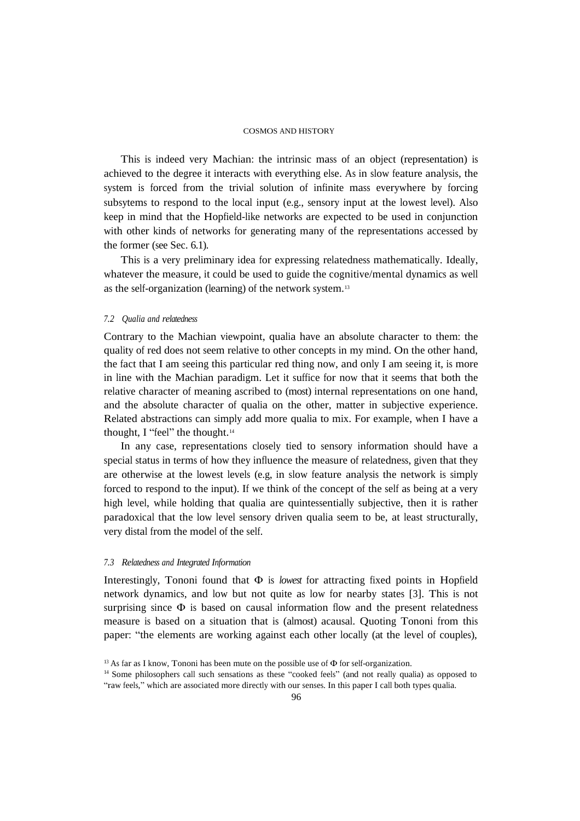This is indeed very Machian: the intrinsic mass of an object (representation) is achieved to the degree it interacts with everything else. As in slow feature analysis, the system is forced from the trivial solution of infinite mass everywhere by forcing subsytems to respond to the local input (e.g., sensory input at the lowest level). Also keep in mind that the Hopfield-like networks are expected to be used in conjunction with other kinds of networks for generating many of the representations accessed by the former (see Sec. 6.1).

This is a very preliminary idea for expressing relatedness mathematically. Ideally, whatever the measure, it could be used to guide the cognitive/mental dynamics as well as the self-organization (learning) of the network system.<sup>13</sup>

### *7.2 Qualia and relatedness*

Contrary to the Machian viewpoint, qualia have an absolute character to them: the quality of red does not seem relative to other concepts in my mind. On the other hand, the fact that I am seeing this particular red thing now, and only I am seeing it, is more in line with the Machian paradigm. Let it suffice for now that it seems that both the relative character of meaning ascribed to (most) internal representations on one hand, and the absolute character of qualia on the other, matter in subjective experience. Related abstractions can simply add more qualia to mix. For example, when I have a thought, I "feel" the thought.<sup>14</sup>

In any case, representations closely tied to sensory information should have a special status in terms of how they influence the measure of relatedness, given that they are otherwise at the lowest levels (e.g, in slow feature analysis the network is simply forced to respond to the input). If we think of the concept of the self as being at a very high level, while holding that qualia are quintessentially subjective, then it is rather paradoxical that the low level sensory driven qualia seem to be, at least structurally, very distal from the model of the self.

# *7.3 Relatedness and Integrated Information*

Interestingly, Tononi found that Φ is *lowest* for attracting fixed points in Hopfield network dynamics, and low but not quite as low for nearby states [3]. This is not surprising since  $\Phi$  is based on causal information flow and the present relatedness measure is based on a situation that is (almost) acausal. Quoting Tononi from this paper: "the elements are working against each other locally (at the level of couples),

<sup>&</sup>lt;sup>13</sup> As far as I know, Tononi has been mute on the possible use of  $\Phi$  for self-organization.

<sup>14</sup> Some philosophers call such sensations as these "cooked feels" (and not really qualia) as opposed to "raw feels," which are associated more directly with our senses. In this paper I call both types qualia.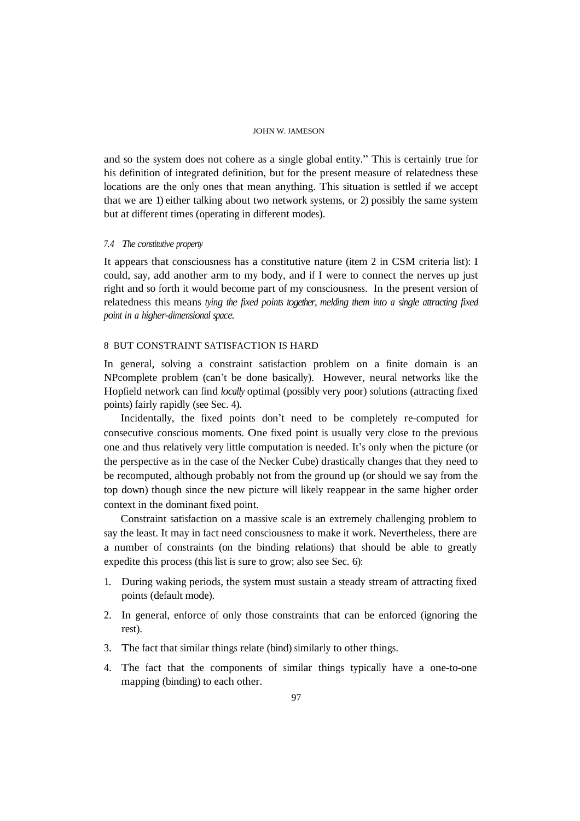and so the system does not cohere as a single global entity." This is certainly true for his definition of integrated definition, but for the present measure of relatedness these locations are the only ones that mean anything. This situation is settled if we accept that we are 1) either talking about two network systems, or 2) possibly the same system but at different times (operating in different modes).

# *7.4 The constitutive property*

It appears that consciousness has a constitutive nature (item 2 in CSM criteria list): I could, say, add another arm to my body, and if I were to connect the nerves up just right and so forth it would become part of my consciousness. In the present version of relatedness this means *tying the fixed points together, melding them into a single attracting fixed point in a higher-dimensional space.*

# 8 BUT CONSTRAINT SATISFACTION IS HARD

In general, solving a constraint satisfaction problem on a finite domain is an NPcomplete problem (can't be done basically). However, neural networks like the Hopfield network can find *locally* optimal (possibly very poor) solutions (attracting fixed points) fairly rapidly (see Sec. 4).

Incidentally, the fixed points don't need to be completely re-computed for consecutive conscious moments. One fixed point is usually very close to the previous one and thus relatively very little computation is needed. It's only when the picture (or the perspective as in the case of the Necker Cube) drastically changes that they need to be recomputed, although probably not from the ground up (or should we say from the top down) though since the new picture will likely reappear in the same higher order context in the dominant fixed point.

Constraint satisfaction on a massive scale is an extremely challenging problem to say the least. It may in fact need consciousness to make it work. Nevertheless, there are a number of constraints (on the binding relations) that should be able to greatly expedite this process (this list is sure to grow; also see Sec. 6):

- 1. During waking periods, the system must sustain a steady stream of attracting fixed points (default mode).
- 2. In general, enforce of only those constraints that can be enforced (ignoring the rest).
- 3. The fact that similar things relate (bind) similarly to other things.
- 4. The fact that the components of similar things typically have a one-to-one mapping (binding) to each other.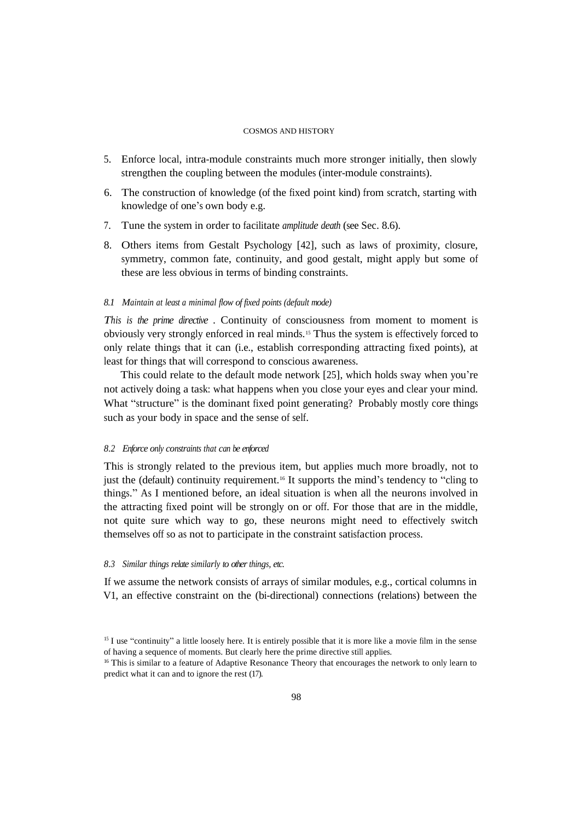- 5. Enforce local, intra-module constraints much more stronger initially, then slowly strengthen the coupling between the modules (inter-module constraints).
- 6. The construction of knowledge (of the fixed point kind) from scratch, starting with knowledge of one's own body e.g.
- 7. Tune the system in order to facilitate *amplitude death* (see Sec. 8.6).
- 8. Others items from Gestalt Psychology [42], such as laws of proximity, closure, symmetry, common fate, continuity, and good gestalt, might apply but some of these are less obvious in terms of binding constraints.

### *8.1 Maintain at least a minimal flow of fixed points (default mode)*

*This is the prime directive* . Continuity of consciousness from moment to moment is obviously very strongly enforced in real minds. <sup>15</sup> Thus the system is effectively forced to only relate things that it can (i.e., establish corresponding attracting fixed points), at least for things that will correspond to conscious awareness.

This could relate to the default mode network [25], which holds sway when you're not actively doing a task: what happens when you close your eyes and clear your mind. What "structure" is the dominant fixed point generating? Probably mostly core things such as your body in space and the sense of self.

### *8.2 Enforce only constraints that can be enforced*

This is strongly related to the previous item, but applies much more broadly, not to just the (default) continuity requirement. <sup>16</sup> It supports the mind's tendency to "cling to things." As I mentioned before, an ideal situation is when all the neurons involved in the attracting fixed point will be strongly on or off. For those that are in the middle, not quite sure which way to go, these neurons might need to effectively switch themselves off so as not to participate in the constraint satisfaction process.

# *8.3 Similar things relate similarly to otherthings, etc.*

If we assume the network consists of arrays of similar modules, e.g., cortical columns in V1, an effective constraint on the (bi-directional) connections (relations) between the

<sup>&</sup>lt;sup>15</sup> I use "continuity" a little loosely here. It is entirely possible that it is more like a movie film in the sense of having a sequence of moments. But clearly here the prime directive still applies.

<sup>&</sup>lt;sup>16</sup> This is similar to a feature of Adaptive Resonance Theory that encourages the network to only learn to predict what it can and to ignore the rest (17).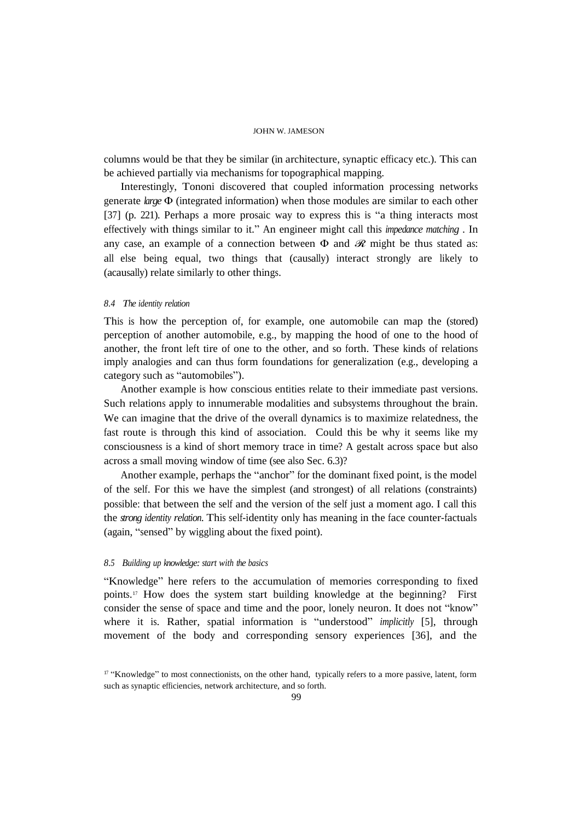columns would be that they be similar (in architecture, synaptic efficacy etc.). This can be achieved partially via mechanisms for topographical mapping.

Interestingly, Tononi discovered that coupled information processing networks generate *large* Φ (integrated information) when those modules are similar to each other [37] (p. 221). Perhaps a more prosaic way to express this is "a thing interacts most effectively with things similar to it." An engineer might call this *impedance matching* . In any case, an example of a connection between  $\Phi$  and  $\mathcal{R}$  might be thus stated as: all else being equal, two things that (causally) interact strongly are likely to (acausally) relate similarly to other things.

# *8.4 The identity relation*

This is how the perception of, for example, one automobile can map the (stored) perception of another automobile, e.g., by mapping the hood of one to the hood of another, the front left tire of one to the other, and so forth. These kinds of relations imply analogies and can thus form foundations for generalization (e.g., developing a category such as "automobiles").

Another example is how conscious entities relate to their immediate past versions. Such relations apply to innumerable modalities and subsystems throughout the brain. We can imagine that the drive of the overall dynamics is to maximize relatedness, the fast route is through this kind of association. Could this be why it seems like my consciousness is a kind of short memory trace in time? A gestalt across space but also across a small moving window of time (see also Sec. 6.3)?

Another example, perhaps the "anchor" for the dominant fixed point, is the model of the self. For this we have the simplest (and strongest) of all relations (constraints) possible: that between the self and the version of the self just a moment ago. I call this the *strong identity relation*. This self-identity only has meaning in the face counter-factuals (again, "sensed" by wiggling about the fixed point).

### *8.5 Building up knowledge: start with the basics*

"Knowledge" here refers to the accumulation of memories corresponding to fixed points.<sup>17</sup> How does the system start building knowledge at the beginning? First consider the sense of space and time and the poor, lonely neuron. It does not "know" where it is. Rather, spatial information is "understood" *implicitly* [5], through movement of the body and corresponding sensory experiences [36], and the

<sup>&</sup>lt;sup>17</sup> "Knowledge" to most connectionists, on the other hand, typically refers to a more passive, latent, form such as synaptic efficiencies, network architecture, and so forth.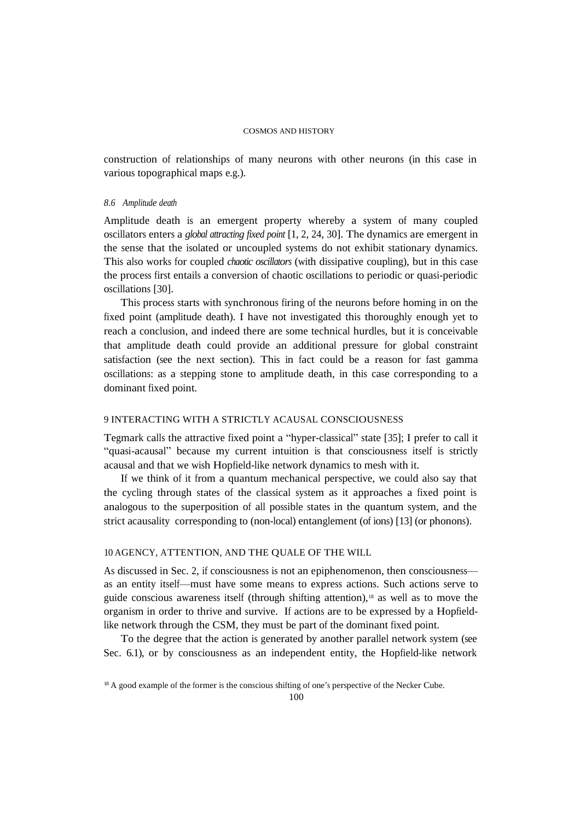construction of relationships of many neurons with other neurons (in this case in various topographical maps e.g.).

# *8.6 Amplitude death*

Amplitude death is an emergent property whereby a system of many coupled oscillators enters a *global attracting fixed point* [1, 2, 24, 30]. The dynamics are emergent in the sense that the isolated or uncoupled systems do not exhibit stationary dynamics. This also works for coupled *chaotic oscillators* (with dissipative coupling), but in this case the process first entails a conversion of chaotic oscillations to periodic or quasi-periodic oscillations [30].

This process starts with synchronous firing of the neurons before homing in on the fixed point (amplitude death). I have not investigated this thoroughly enough yet to reach a conclusion, and indeed there are some technical hurdles, but it is conceivable that amplitude death could provide an additional pressure for global constraint satisfaction (see the next section). This in fact could be a reason for fast gamma oscillations: as a stepping stone to amplitude death, in this case corresponding to a dominant fixed point.

# 9 INTERACTING WITH A STRICTLY ACAUSAL CONSCIOUSNESS

Tegmark calls the attractive fixed point a "hyper-classical" state [35]; I prefer to call it "quasi-acausal" because my current intuition is that consciousness itself is strictly acausal and that we wish Hopfield-like network dynamics to mesh with it.

If we think of it from a quantum mechanical perspective, we could also say that the cycling through states of the classical system as it approaches a fixed point is analogous to the superposition of all possible states in the quantum system, and the strict acausality corresponding to (non-local) entanglement (of ions) [13] (or phonons).

# 10 AGENCY, ATTENTION, AND THE QUALE OF THE WILL

As discussed in Sec. 2, if consciousness is not an epiphenomenon, then consciousness as an entity itself—must have some means to express actions. Such actions serve to guide conscious awareness itself (through shifting attention), <sup>18</sup> as well as to move the organism in order to thrive and survive. If actions are to be expressed by a Hopfieldlike network through the CSM, they must be part of the dominant fixed point.

To the degree that the action is generated by another parallel network system (see Sec. 6.1), or by consciousness as an independent entity, the Hopfield-like network

<sup>&</sup>lt;sup>18</sup> A good example of the former is the conscious shifting of one's perspective of the Necker Cube.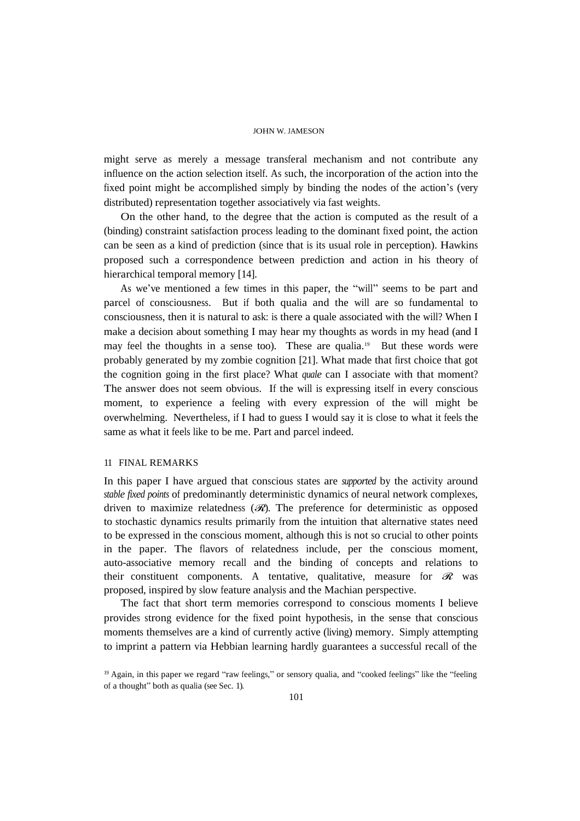might serve as merely a message transferal mechanism and not contribute any influence on the action selection itself. As such, the incorporation of the action into the fixed point might be accomplished simply by binding the nodes of the action's (very distributed) representation together associatively via fast weights.

On the other hand, to the degree that the action is computed as the result of a (binding) constraint satisfaction process leading to the dominant fixed point, the action can be seen as a kind of prediction (since that is its usual role in perception). Hawkins proposed such a correspondence between prediction and action in his theory of hierarchical temporal memory [14].

As we've mentioned a few times in this paper, the "will" seems to be part and parcel of consciousness. But if both qualia and the will are so fundamental to consciousness, then it is natural to ask: is there a quale associated with the will? When I make a decision about something I may hear my thoughts as words in my head (and I may feel the thoughts in a sense too). These are qualia.<sup>19</sup> But these words were probably generated by my zombie cognition [21]. What made that first choice that got the cognition going in the first place? What *quale* can I associate with that moment? The answer does not seem obvious. If the will is expressing itself in every conscious moment, to experience a feeling with every expression of the will might be overwhelming. Nevertheless, if I had to guess I would say it is close to what it feels the same as what it feels like to be me. Part and parcel indeed.

# 11 FINAL REMARKS

In this paper I have argued that conscious states are *supported* by the activity around *stable fixed points* of predominantly deterministic dynamics of neural network complexes, driven to maximize relatedness  $(\mathcal{R})$ . The preference for deterministic as opposed to stochastic dynamics results primarily from the intuition that alternative states need to be expressed in the conscious moment, although this is not so crucial to other points in the paper. The flavors of relatedness include, per the conscious moment, auto-associative memory recall and the binding of concepts and relations to their constituent components. A tentative, qualitative, measure for  $\mathcal{R}$  was proposed, inspired by slow feature analysis and the Machian perspective.

The fact that short term memories correspond to conscious moments I believe provides strong evidence for the fixed point hypothesis, in the sense that conscious moments themselves are a kind of currently active (living) memory. Simply attempting to imprint a pattern via Hebbian learning hardly guarantees a successful recall of the

<sup>19</sup> Again, in this paper we regard "raw feelings," or sensory qualia, and "cooked feelings" like the "feeling of a thought" both as qualia (see Sec. 1).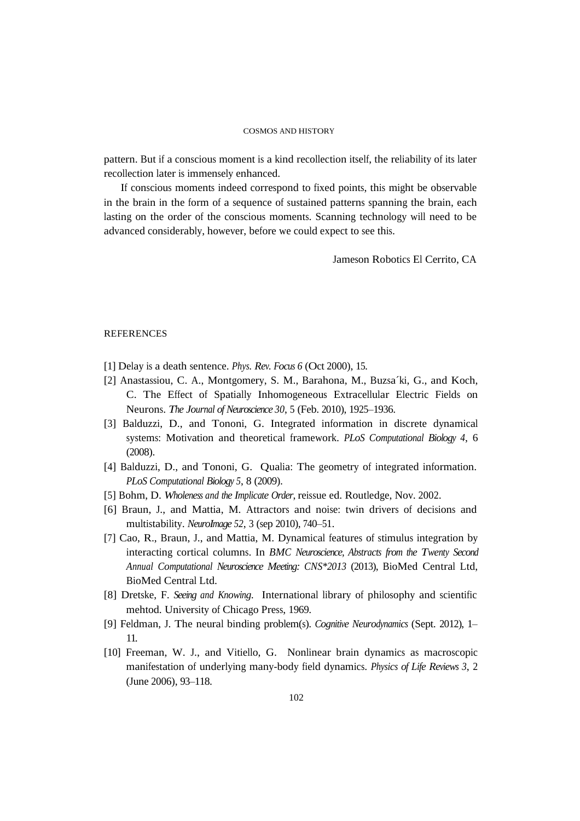pattern. But if a conscious moment is a kind recollection itself, the reliability of its later recollection later is immensely enhanced.

If conscious moments indeed correspond to fixed points, this might be observable in the brain in the form of a sequence of sustained patterns spanning the brain, each lasting on the order of the conscious moments. Scanning technology will need to be advanced considerably, however, before we could expect to see this.

Jameson Robotics El Cerrito, CA

### REFERENCES

- [1] Delay is a death sentence. *Phys. Rev. Focus 6* (Oct 2000), 15.
- [2] Anastassiou, C. A., Montgomery, S. M., Barahona, M., Buzsa´ki, G., and Koch, C. The Effect of Spatially Inhomogeneous Extracellular Electric Fields on Neurons. *The Journal of Neuroscience 30*, 5 (Feb. 2010), 1925–1936.
- [3] Balduzzi, D., and Tononi, G. Integrated information in discrete dynamical systems: Motivation and theoretical framework. *PLoS Computational Biology 4*, 6 (2008).
- [4] Balduzzi, D., and Tononi, G. Qualia: The geometry of integrated information. *PLoS Computational Biology 5*, 8 (2009).
- [5] Bohm, D. *Wholeness and the Implicate Order*, reissue ed. Routledge, Nov. 2002.
- [6] Braun, J., and Mattia, M. Attractors and noise: twin drivers of decisions and multistability. *NeuroImage 52*, 3 (sep 2010), 740–51.
- [7] Cao, R., Braun, J., and Mattia, M. Dynamical features of stimulus integration by interacting cortical columns. In *BMC Neuroscience, Abstracts from the Twenty Second Annual Computational Neuroscience Meeting: CNS\*2013* (2013), BioMed Central Ltd, BioMed Central Ltd.
- [8] Dretske, F. *Seeing and Knowing*. International library of philosophy and scientific mehtod. University of Chicago Press, 1969.
- [9] Feldman, J. The neural binding problem(s). *Cognitive Neurodynamics* (Sept. 2012), 1– 11.
- [10] Freeman, W. J., and Vitiello, G. Nonlinear brain dynamics as macroscopic manifestation of underlying many-body field dynamics. *Physics of Life Reviews 3*, 2 (June 2006), 93–118.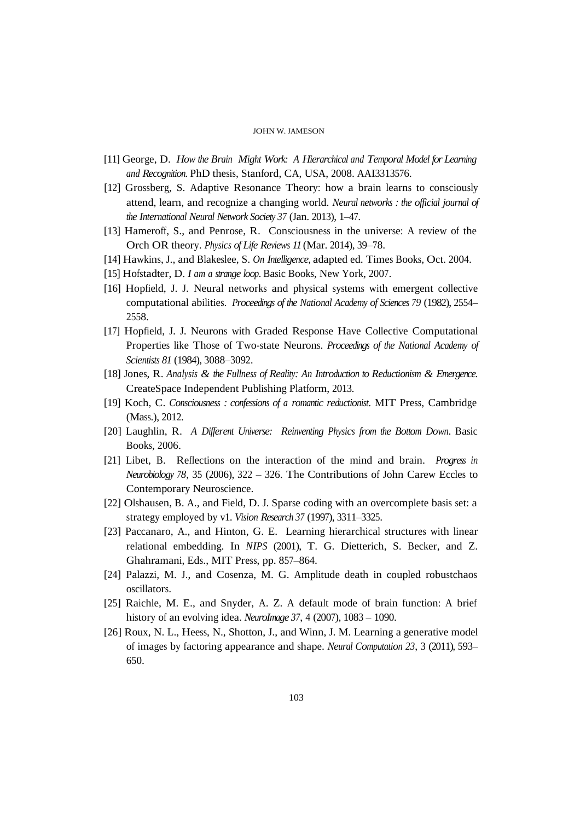- [11] George, D. *How the Brain Might Work: A Hierarchical and Temporal Model for Learning and Recognition*. PhD thesis, Stanford, CA, USA, 2008. AAI3313576.
- [12] Grossberg, S. Adaptive Resonance Theory: how a brain learns to consciously attend, learn, and recognize a changing world. *Neural networks : the official journal of the International Neural Network Society 37* (Jan. 2013), 1–47.
- [13] Hameroff, S., and Penrose, R. Consciousness in the universe: A review of the Orch OR theory. *Physics of Life Reviews 11* (Mar. 2014), 39–78.
- [14] Hawkins, J., and Blakeslee, S. *On Intelligence*, adapted ed. Times Books, Oct. 2004.
- [15] Hofstadter, D. *I am a strange loop*. Basic Books, New York, 2007.
- [16] Hopfield, J. J. Neural networks and physical systems with emergent collective computational abilities. *Proceedings of the National Academy of Sciences 79* (1982), 2554– 2558.
- [17] Hopfield, J. J. Neurons with Graded Response Have Collective Computational Properties like Those of Two-state Neurons. *Proceedings of the National Academy of Scientists 81* (1984), 3088–3092.
- [18] Jones, R. *Analysis & the Fullness of Reality: An Introduction to Reductionism & Emergence*. CreateSpace Independent Publishing Platform, 2013.
- [19] Koch, C. *Consciousness : confessions of a romantic reductionist*. MIT Press, Cambridge (Mass.), 2012.
- [20] Laughlin, R. *A Dif erent Universe: Reinventing Physics from the Bottom Down*. Basic Books, 2006.
- [21] Libet, B. Reflections on the interaction of the mind and brain. *Progress in Neurobiology 78*, 35 (2006), 322 – 326. The Contributions of John Carew Eccles to Contemporary Neuroscience.
- [22] Olshausen, B. A., and Field, D. J. Sparse coding with an overcomplete basis set: a strategy employed by v1. *Vision Research 37* (1997), 3311–3325.
- [23] Paccanaro, A., and Hinton, G. E. Learning hierarchical structures with linear relational embedding. In *NIPS* (2001), T. G. Dietterich, S. Becker, and Z. Ghahramani, Eds., MIT Press, pp. 857–864.
- [24] Palazzi, M. J., and Cosenza, M. G. Amplitude death in coupled robustchaos oscillators.
- [25] Raichle, M. E., and Snyder, A. Z. A default mode of brain function: A brief history of an evolving idea. *NeuroImage 37*, 4 (2007), 1083 – 1090.
- [26] Roux, N. L., Heess, N., Shotton, J., and Winn, J. M. Learning a generative model of images by factoring appearance and shape. *Neural Computation 23*, 3 (2011), 593– 650.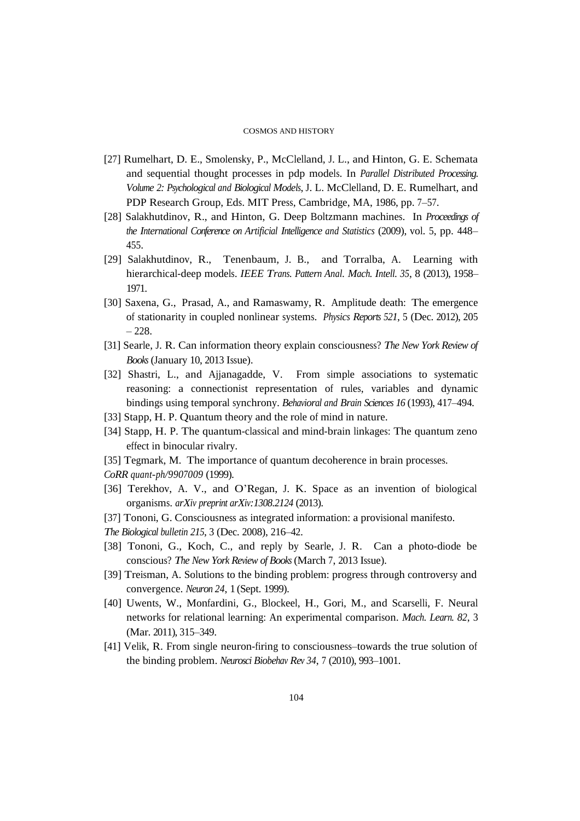- [27] Rumelhart, D. E., Smolensky, P., McClelland, J. L., and Hinton, G. E. Schemata and sequential thought processes in pdp models. In *Parallel Distributed Processing. Volume 2: Psychological and Biological Models*, J. L. McClelland, D. E. Rumelhart, and PDP Research Group, Eds. MIT Press, Cambridge, MA, 1986, pp. 7–57.
- [28] Salakhutdinov, R., and Hinton, G. Deep Boltzmann machines. In *Proceedings of the International Conference on Artificial Intelligence and Statistics* (2009), vol. 5, pp. 448– 455.
- [29] Salakhutdinov, R., Tenenbaum, J. B., and Torralba, A. Learning with hierarchical-deep models. *IEEE Trans. Pattern Anal. Mach. Intell. 35*, 8 (2013), 1958– 1971.
- [30] Saxena, G., Prasad, A., and Ramaswamy, R. Amplitude death: The emergence of stationarity in coupled nonlinear systems. *Physics Reports 521*, 5 (Dec. 2012), 205 – 228.
- [31] Searle, J. R. Can information theory explain consciousness? *The New York Review of Books* (January 10, 2013 Issue).
- [32] Shastri, L., and Ajjanagadde, V. From simple associations to systematic reasoning: a connectionist representation of rules, variables and dynamic bindings using temporal synchrony. *Behavioral and Brain Sciences 16* (1993), 417–494.
- [33] Stapp, H. P. Quantum theory and the role of mind in nature.
- [34] Stapp, H. P. The quantum-classical and mind-brain linkages: The quantum zeno effect in binocular rivalry.
- [35] Tegmark, M. The importance of quantum decoherence in brain processes.
- *CoRR quant-ph/9907009* (1999).
- [36] Terekhov, A. V., and O'Regan, J. K. Space as an invention of biological organisms. *arXiv preprint arXiv:1308.2124* (2013).
- [37] Tononi, G. Consciousness as integrated information: a provisional manifesto.
- *The Biological bulletin 215*, 3 (Dec. 2008), 216–42.
- [38] Tononi, G., Koch, C., and reply by Searle, J. R. Can a photo-diode be conscious? *The New York Review of Books* (March 7, 2013 Issue).
- [39] Treisman, A. Solutions to the binding problem: progress through controversy and convergence. *Neuron 24*, 1 (Sept. 1999).
- [40] Uwents, W., Monfardini, G., Blockeel, H., Gori, M., and Scarselli, F. Neural networks for relational learning: An experimental comparison. *Mach. Learn. 82*, 3 (Mar. 2011), 315–349.
- [41] Velik, R. From single neuron-firing to consciousness–towards the true solution of the binding problem. *Neurosci Biobehav Rev 34*, 7 (2010), 993–1001.